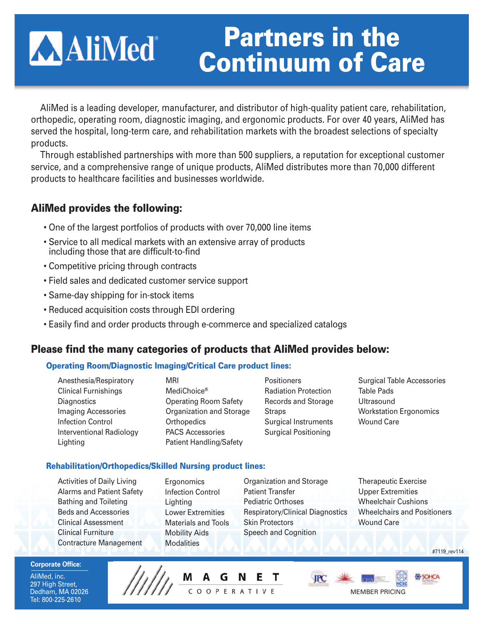# **AAliMed**

# **Partners in the Continuum of Care**

AliMed is a leading developer, manufacturer, and distributor of high-quality patient care, rehabilitation, orthopedic, operating room, diagnostic imaging, and ergonomic products. For over 40 years, AliMed has served the hospital, long-term care, and rehabilitation markets with the broadest selections of specialty products.

Through established partnerships with more than 500 suppliers, a reputation for exceptional customer service, and a comprehensive range of unique products, AliMed distributes more than 70,000 different products to healthcare facilities and businesses worldwide.

## **AliMed provides the following:**

- One of the largest portfolios of products with over 70,000 line items
- Service to all medical markets with an extensive array of products including those that are difficult-to-find
- Competitive pricing through contracts
- Field sales and dedicated customer service support
- Same-day shipping for in-stock items
- Reduced acquisition costs through EDI ordering
- Easily find and order products through e-commerce and specialized catalogs

### **Please find the many categories of products that AliMed provides below:**

#### **Operating Room/Diagnostic Imaging/Critical Care product lines:**

Anesthesia/Respiratory Clinical Furnishings **Diagnostics** Imaging Accessories Infection Control Interventional Radiology Lighting

MRI MediChoice® Operating Room Safety Organization and Storage **Orthopedics** PACS Accessories Patient Handling/Safety

**Positioners** Radiation Protection Records and Storage **Straps** Surgical Instruments Surgical Positioning

Surgical Table Accessories Table Pads Ultrasound Workstation Ergonomics Wound Care

#### **Rehabilitation/Orthopedics/Skilled Nursing product lines:**

- Activities of Daily Living Alarms and Patient Safety Bathing and Toileting Beds and Accessories Clinical Assessment Clinical Furniture Contracture Management
- Ergonomics Infection Control Lighting Lower Extremities Materials and Tools Mobility Aids **Modalities**
- Organization and Storage Patient Transfer Pediatric Orthoses Respiratory/Clinical Diagnostics Skin Protectors Speech and Cognition
- Therapeutic Exercise Upper Extremities Wheelchair Cushions Wheelchairs and Positioners Wound Care

**Corporate Office:**

AliMed, inc. 297 High Street, Dedham, MA 02026 Tel: 800-225-2610



#7119\_rev114